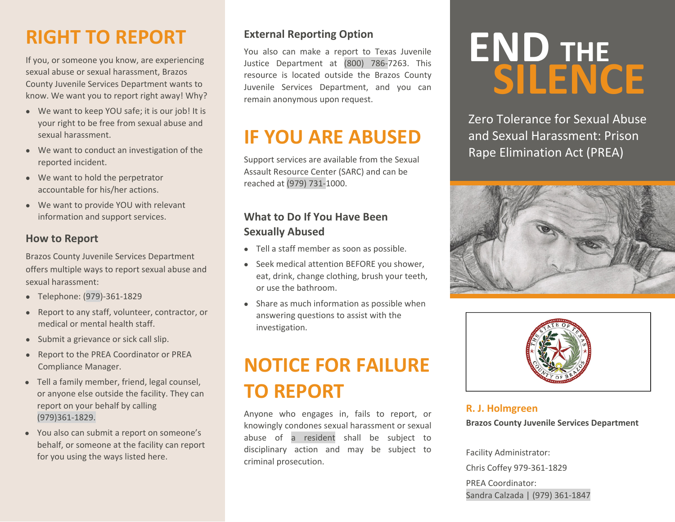### **RIGHT TO REPORT**

If you, or someone you know, are experiencing sexual abuse or sexual harassment, Brazos County Juvenile Services Department wants to know. We want you to report right away! Why?

- We want to keep YOU safe; it is our job! It is your right to be free from sexual abuse and sexual harassment.
- We want to conduct an investigation of the reported incident.
- We want to hold the perpetrator accountable for his/her actions.
- We want to provide YOU with relevant information and support services.

### **How to Report**

Brazos County Juvenile Services Department offers multiple ways to report sexual abuse and sexual harassment:

- Telephone: (979)‐361‐1829
- Report to any staff, volunteer, contractor, or medical or mental health staff.
- Submit a grievance or sick call slip.
- Report to the PREA Coordinator or PREA Compliance Manager.
- Tell <sup>a</sup> family member, friend, legal counsel, or anyone else outside the facility. They can report on your behalf by calling (979)361‐1829.
- You also can submit <sup>a</sup> report on someone's behalf, or someone at the facility can report for you using the ways listed here.

### **External Reporting Option**

You also can make <sup>a</sup> report to Texas Juvenile Justice Department at (800) 786‐7263. This resource is located outside the Brazos County Juvenile Services Department, and you can remain anonymous upon request.

### **IF YOU ARE ABUSED**

Support services are available from the Sexual Assault Resource Center (SARC) and can be reached at (979) 731‐1000.

### **What to Do If You Have Been Sexually Abused**

- Tell <sup>a</sup> staff member as soon as possible.
- Seek medical attention BEFORE you shower, eat, drink, change clothing, brush your teeth, or use the bathroom.
- Share as much information as possible when answering questions to assist with the investigation.

### **NOTICE FOR FAILURE TO REPORT**

Anyone who engages in, fails to report, or knowingly condones sexual harassment or sexual abuse of <sup>a</sup> resident shall be subject to disciplinary action and may be subject to criminal prosecution.

# **END THE SILENCE**

Zero Tolerance for Sexual Abuse and Sexual Harassment: Prison Rape Elimination Act (PREA)





#### **R. J. Holmgreen**

**Brazos County Juvenile Services Department**

Facility Administrator: Chris Coffey 979‐361‐1829 PREA Coordinator: Sandra Calzada | (979) 361‐1847